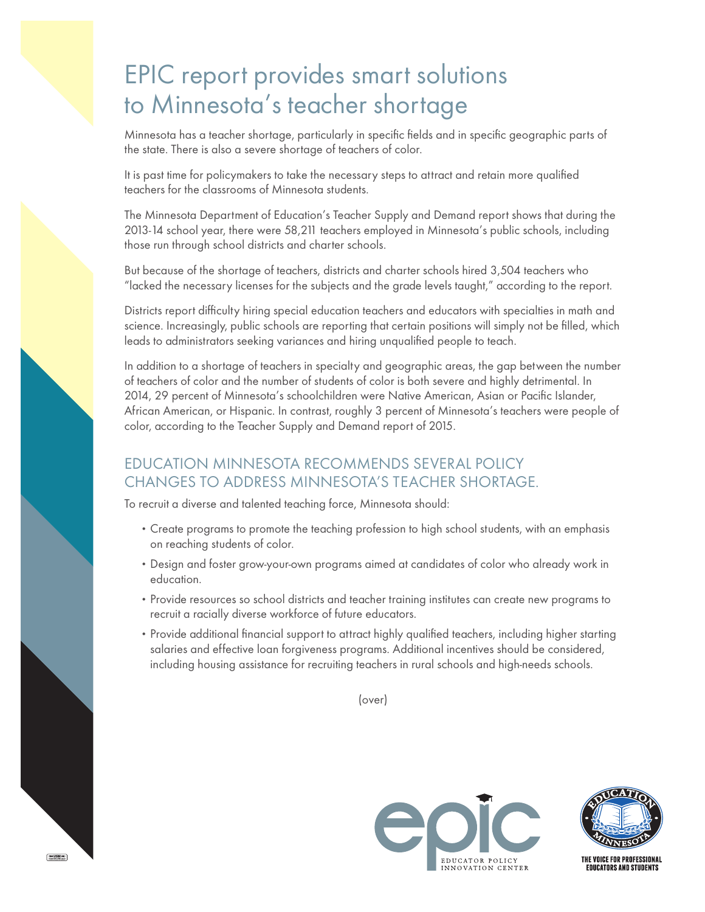## EPIC report provides smart solutions to Minnesota's teacher shortage

Minnesota has a teacher shortage, particularly in specific fields and in specific geographic parts of the state. There is also a severe shortage of teachers of color.

It is past time for policymakers to take the necessary steps to attract and retain more qualified teachers for the classrooms of Minnesota students.

The Minnesota Department of Education's Teacher Supply and Demand report shows that during the 2013-14 school year, there were 58,211 teachers employed in Minnesota's public schools, including those run through school districts and charter schools.

But because of the shortage of teachers, districts and charter schools hired 3,504 teachers who "lacked the necessary licenses for the subjects and the grade levels taught," according to the report.

Districts report difficulty hiring special education teachers and educators with specialties in math and science. Increasingly, public schools are reporting that certain positions will simply not be filled, which leads to administrators seeking variances and hiring unqualified people to teach.

In addition to a shortage of teachers in specialty and geographic areas, the gap between the number of teachers of color and the number of students of color is both severe and highly detrimental. In 2014, 29 percent of Minnesota's schoolchildren were Native American, Asian or Pacific Islander, African American, or Hispanic. In contrast, roughly 3 percent of Minnesota's teachers were people of color, according to the Teacher Supply and Demand report of 2015.

## EDUCATION MINNESOTA RECOMMENDS SEVERAL POLICY CHANGES TO ADDRESS MINNESOTA'S TEACHER SHORTAGE.

To recruit a diverse and talented teaching force, Minnesota should:

- Create programs to promote the teaching profession to high school students, with an emphasis on reaching students of color.
- Design and foster grow-your-own programs aimed at candidates of color who already work in education.
- •Provide resources so school districts and teacher training institutes can create new programs to recruit a racially diverse workforce of future educators.
- •Provide additional financial support to attract highly qualified teachers, including higher starting salaries and effective loan forgiveness programs. Additional incentives should be considered, including housing assistance for recruiting teachers in rural schools and high-needs schools.

(over)